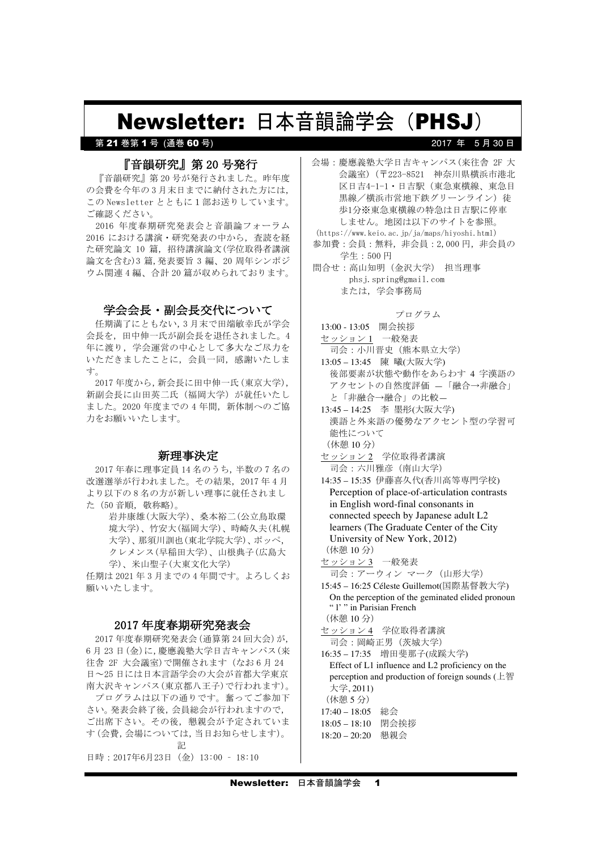# Newsletter: 日本音韻論学会(PHSJ)

# 第 21 巻第 1 号 (通巻 60 号

# 『音韻研究』第20号発行

『音韻研究』第20号が発行されました。昨年度 の会費を今年の3月末日までに納付された方には. この Newsletter とともに1部お送りしています。 ご確認ください。

2016 年度春期研究発表会と音韻論フォーラム 2016 における講演・研究発表の中から,査読を経 た研究論文 10 篇, 招待講演論文(学位取得者講演 論文を含む) 3 篇, 発表要旨 3 編、20 周年シンポジ ウム関連4編、合計20 篇が収められております。

# 学会会長・副会長交代について

任期満了にともない, 3月末で田端敏幸氏が学会 会長を、田中伸一氏が副会長を退任されました。4 年に渡り、学会運営の中心として多大なご尽力を いただきましたことに、会員一同、感謝いたしま 寸。

2017年度から,新会長に田中伸一氏(東京大学), 新副会長に山田英二氏(福岡大学)が就任いたし ました。2020年度までの4年間、新体制へのご協 力をお願いいたします。

#### 新理事決定

2017年春に理事定員 14名のうち, 半数の7名の 改選選挙が行われました。その結果, 2017年4月 より以下の8名の方が新しい理事に就任されまし た (50音順, 敬称略)。

> 岩井康雄(大阪大学)、桑本裕二(公立鳥取環 境大学)、竹安大(福岡大学)、時崎久夫(札幌 大学) 、那須川訓也(東北学院大学)、ポッペ, クレメンス(早稲田大学)、山根典子(広島大 学)、米山聖子(大東文化大学)

任期は 2021 年3月までの4年間です。よろしくお 願いいたします。

### 2017 年度春期研究発表会

2017 年度春期研究発表会 (通算第 24 回大会) が, 6月23日 (金)に, 慶應義塾大学日吉キャンパス (来 往舎 2F 大会議室)で開催されます (なお6月24 日~25日には日本言語学会の大会が首都大学東京 南大沢キャンパス(東京都八王子)で行われます)。 プログラムは以下の通りです。奮ってご参加下 さい。発表会終了後,会員総会が行われますので, ご出席下さい。その後、懇親会が予定されていま す(会費,会場については、当日お知らせします)。 **图像的 医心理** 日時: 2017年6月23日 (金) 13:00 - 18:10

会場:慶應義塾大学日吉キャンパス(来往舎 2F 大 会議室) (〒223-8521 神奈川県横浜市港北 区日吉4-1-1 · 日吉駅 (東急東横線、東急目 黒線/横浜市営地下鉄グリーンライン)徒 歩1分※東急東横線の特急は日吉駅に停車 しません。地図は以下のサイトを参照。 (https://www.keio.ac.jp/ja/maps/hiyoshi.html)

2017 年 5月30日

参加費: 会員: 無料, 非会員: 2,000円, 非会員の 学生: 500円

問合せ: 高山知明 (金沢大学) 担当理事 phsj.spring@gmail.com または、学会事務局

#### プログラム

13:00 - 13:05 開会挨拶 セッション 1 一般発表 司会:小川晋史(熊本県立大学) 13:05-13:45 陳 曦(大阪大学) 後部要素が状態や動作をあらわす 4 字漢語の アクセントの自然度評価 –「融合→非融合」 と「非融合→融合」の比較–

13:45 – 14:25 李 墨彤(大阪大学) 漢語と外来語の優勢なアクセント型の学習可 能性について (休憩 10分)

- セッション2 学位取得者講演 司会:六川雅彦 (南山大学)
- 14:35 15:35 伊藤喜久代(香川高等専門学校) Perception of place-of-articulation contrasts in English word-final consonants in connected speech by Japanese adult L2 learners (The Graduate Center of the City University of New York, 2012) (休憩 10分)
- セ<sub>ツ</sub>ション3 一般発表

司会:アーウィン マーク (山形大学)

15:45 – 16:25 Céleste Guillemot(国際基督教大学) On the perception of the geminated elided pronoun " l' " in Parisian French (休憩 10分)

- セッション 4 学位取得者講演 司会:岡崎正男 (茨城大学)
- 16:35 17:35 増田斐那子(成蹊大学) Effect of L1 influence and L2 proficiency on the perception and production of foreign sounds ( $\pm$ 智 大学, 2011) (休憩 5 分)
- $17:40 18:05$  総会
- 18:05-18:10 閉会挨拶
- 18:20 20:20 懇親会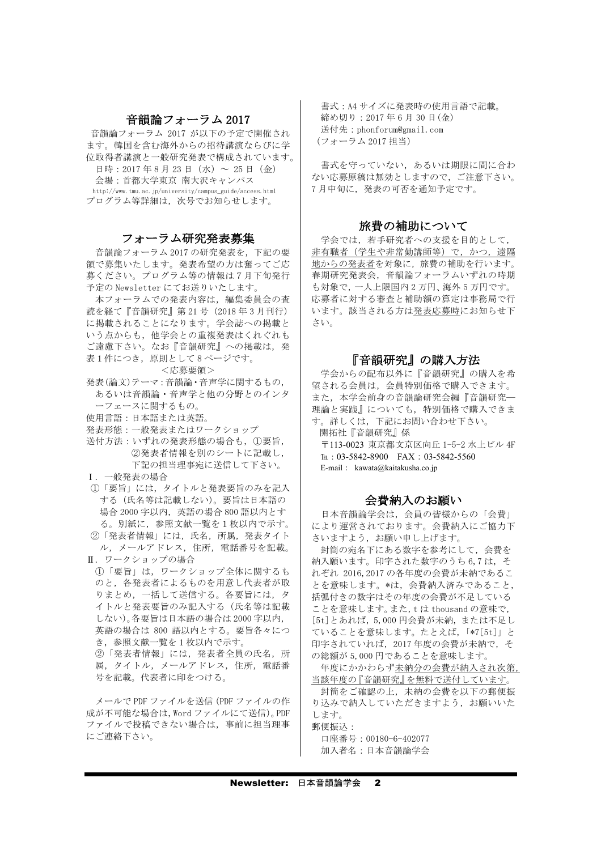### 音韻論フォーラム 2017

音韻論フォーラム 2017 が以下の予定で開催され ます。韓国を含む海外からの招待講演ならびに学 位取得者講演と一般研究発表で構成されています。

日時: 2017年8月23日 (水) ~ 25日 (金) 会場: 首都大学東京 南大沢キャンパス http://www.tmu.ac.jp/university/campus\_guide/access.html プログラム等詳細は、次号でお知らせします。

#### フォーラム研究発表募集

音韻論フォーラム 2017 の研究発表を,下記の要 領で募集いたします。発表希望の方は奮ってご応 募ください。プログラム等の情報は7月下旬発行 予定の Newsletter にてお送りいたします。

本フォーラムでの発表内容は、編集委員会の査 読を経て『音韻研究』第 21 号(2018 年 3 月刊行) に掲載されることになります。学会誌への掲載と いう点からも、他学会との重複発表はくれぐれも ご遠慮下さい。なお『音韻研究』への掲載は、発 表1件につき、原則として8ページです。

<応募要領>

- 発表(論文)テーマ:音韻論・音声学に関するもの, あるいは音韻論·音声学と他の分野とのインタ
- ーフェースに関するもの。
- 使用言語:日本語または英語。
- 発表形態:一般発表またはワークショップ
- 送付方法:いずれの発表形熊の場合も、1要旨, ②発表者情報を別のシートに記載し, 下記の担当理事宛に送信して下さい。
- I. 一般発表の場合
- 1「要旨」には、タイトルと発表要旨のみを記入 する(氏名等は記載しない)。要旨は日本語の 場合 2000 字以内, 英語の場合 800 語以内とす る。別紙に、参照文献一覧を1枚以内で示す。 ②「発表者情報」には、氏名、所属、発表タイト
- ル, メールアドレス, 住所, 電話番号を記載。 II. ワークショップの場合
- (1)「要旨」は、 ワークショップ全体に関するも のと、各発表者によるものを用意し代表者が取 りまとめ、一括して送信する。各要旨には、タ イトルと発表要旨のみ記入する(氏名等は記載 しない)。各要旨は日本語の場合は2000字以内, 英語の場合は 800 語以内とする。要旨各々につ き、参照文献一覧を1枚以内で示す。 ②「発表者情報」には、発表者全員の氏名、所
- 属、タイトル、メールアドレス、住所、電話番 号を記載。代表者に印をつける。

メールで PDF ファイルを送信 (PDF ファイルの作 成が不可能な場合は, Word ファイルにて送信)。PDF ファイルで投稿できない場合は、事前に担当理事 にご連絡下さい。

書式: A4 サイズに発表時の使用言語で記載。 締め切り: 2017年6月30日(金) 送付先: phonforum@gmail.com (フォーラム 2017 担当)

書式を守っていない、あるいは期限に間に合わ ない応募原稿は無効としますので、ご注意下さい。 7月中旬に、発表の可否を通知予定です。

# 旅費の補助について

学会では、若手研究者への支援を目的として, 非有職者(学生や非常勤講師等)で、かつ、遠隔 地からの発表者を対象に、旅費の補助を行います。 春期研究発表会、音韻論フォーラムいずれの時期 も対象で、一人上限国内2万円、海外5万円です。 応募者に対する審査と補助額の算定は事務局で行 います。該当される方は発表応募時にお知らせ下 さい。

#### 『音韻研究』の購入方法

学会からの配布以外に『音韻研究』の購入を希 望される会員は、会員特別価格で購入できます。 また、本学会前身の音韻論研究会編『音韻研究ー 理論と実践』についても、特別価格で購入できま す。詳しくは、下記にお問い合わせ下さい。 開拓社『音韻研究』係

〒113-0023 東京都文京区向丘 1-5-2 水上ビル 4F TEL: 03-5842-8900 FAX: 03-5842-5560 E-mail: kawata@kaitakusha.co.jp

#### 会費納入のお願い

日本音韻論学会は、会員の皆様からの「会費」 により運営されております。会費納入にご協力下 さいますよう、お願い申し上げます。

封筒の宛名下にある数字を参考にして、会費を 納入願います。印字された数字のうち6,7は、そ れぞれ 2016,2017 の各年度の会費が未納であるこ とを意味します。\*は、会費納入済みであること, 括弧付きの数字はその年度の会費が不足している ことを意味します。また, t は thousand の意味で, [5t]とあれば, 5,000円会費が未納, または不足し ていることを意味します。たとえば, 「\*7[5t]」と 印字されていれば,2017年度の会費が未納で,そ の総額が 5,000円であることを意味します。

年度にかかわらず未納分の会費が納入され次第, 当該年度の『音韻研究』を無料で送付しています。

封筒をご確認の上、未納の会費を以下の郵便振 り込みで納入していただきますよう。お願いいた します。 郵便振认:

口座番号: 00180-6-402077 加入者名:日本音韻論学会